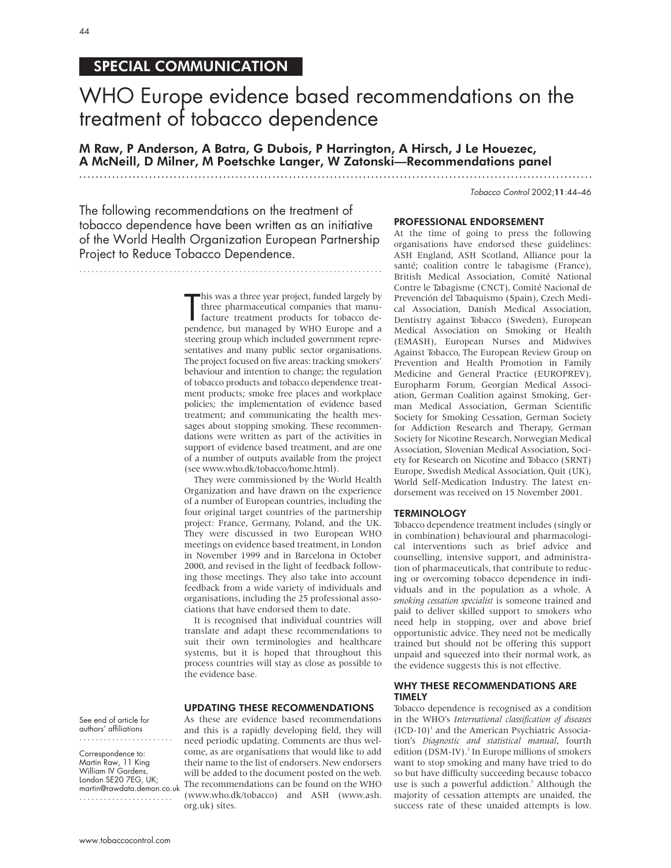# SPECIAL COMMUNICATION

# WHO Europe evidence based recommendations on the treatment of tobacco dependence

M Raw, P Anderson, A Batra, G Dubois, P Harrington, A Hirsch, J Le Houezec, A McNeill, D Milner, M Poetschke Langer, W Zatonski—Recommendations panel .............................................................................................................................

Tobacco Control 2002;11:44–46

The following recommendations on the treatment of tobacco dependence have been written as an initiative of the World Health Organization European Partnership Project to Reduce Tobacco Dependence.

# ..........................................................................

This was a three year project, funded largely by<br>three pharmaceutical companies that manu-<br>facture treatment products for tobacco de-<br>pendence, but managed by WHO Europe and a his was a three year project, funded largely by three pharmaceutical companies that manufacture treatment products for tobacco desteering group which included government representatives and many public sector organisations. The project focused on five areas: tracking smokers' behaviour and intention to change; the regulation of tobacco products and tobacco dependence treatment products; smoke free places and workplace policies; the implementation of evidence based treatment; and communicating the health messages about stopping smoking. These recommendations were written as part of the activities in support of evidence based treatment, and are one of a number of outputs available from the project (see www.who.dk/tobacco/home.html).

They were commissioned by the World Health Organization and have drawn on the experience of a number of European countries, including the four original target countries of the partnership project: France, Germany, Poland, and the UK. They were discussed in two European WHO meetings on evidence based treatment, in London in November 1999 and in Barcelona in October 2000, and revised in the light of feedback following those meetings. They also take into account feedback from a wide variety of individuals and organisations, including the 25 professional associations that have endorsed them to date.

It is recognised that individual countries will translate and adapt these recommendations to suit their own terminologies and healthcare systems, but it is hoped that throughout this process countries will stay as close as possible to the evidence base.

# UPDATING THESE RECOMMENDATIONS

See end of article for authors' affiliations ....................... Correspondence to:

Martin Raw, 11 King William IV Gardens, London SE20 7EG, UK; martin@rawdata.demon.co.uk .......................

As these are evidence based recommendations and this is a rapidly developing field, they will need periodic updating. Comments are thus welcome, as are organisations that would like to add their name to the list of endorsers. New endorsers will be added to the document posted on the web. The recommendations can be found on the WHO (www.who.dk/tobacco) and ASH (www.ash. org.uk) sites.

# PROFESSIONAL ENDORSEMENT

At the time of going to press the following organisations have endorsed these guidelines: ASH England, ASH Scotland, Alliance pour la santé; coalition contre le tabagisme (France), British Medical Association, Comité National Contre le Tabagisme (CNCT), Comité Nacional de Prevención del Tabaquismo (Spain), Czech Medical Association, Danish Medical Association, Dentistry against Tobacco (Sweden), European Medical Association on Smoking or Health (EMASH), European Nurses and Midwives Against Tobacco, The European Review Group on Prevention and Health Promotion in Family Medicine and General Practice (EUROPREV), Europharm Forum, Georgian Medical Association, German Coalition against Smoking, German Medical Association, German Scientific Society for Smoking Cessation, German Society for Addiction Research and Therapy, German Society for Nicotine Research, Norwegian Medical Association, Slovenian Medical Association, Society for Research on Nicotine and Tobacco (SRNT) Europe, Swedish Medical Association, Quit (UK), World Self-Medication Industry. The latest endorsement was received on 15 November 2001.

## **TERMINOLOGY**

Tobacco dependence treatment includes (singly or in combination) behavioural and pharmacological interventions such as brief advice and counselling, intensive support, and administration of pharmaceuticals, that contribute to reducing or overcoming tobacco dependence in individuals and in the population as a whole. A *smoking cessation specialist* is someone trained and paid to deliver skilled support to smokers who need help in stopping, over and above brief opportunistic advice. They need not be medically trained but should not be offering this support unpaid and squeezed into their normal work, as the evidence suggests this is not effective.

# WHY THESE RECOMMENDATIONS ARE TIMELY

Tobacco dependence is recognised as a condition in the WHO's *International classification of diseases*  $(ICD-10)^1$  and the American Psychiatric Association's *Diagnostic and statistical manual*, fourth edition (DSM-IV).<sup>2</sup> In Europe millions of smokers want to stop smoking and many have tried to do so but have difficulty succeeding because tobacco use is such a powerful addiction.<sup>3</sup> Although the majority of cessation attempts are unaided, the success rate of these unaided attempts is low.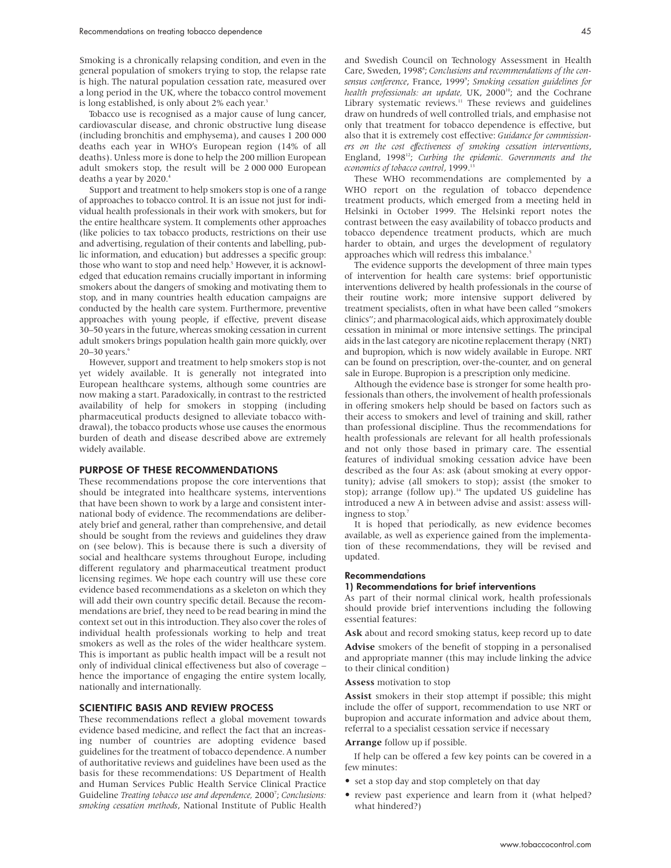Smoking is a chronically relapsing condition, and even in the general population of smokers trying to stop, the relapse rate is high. The natural population cessation rate, measured over a long period in the UK, where the tobacco control movement is long established, is only about 2% each year.<sup>3</sup>

Tobacco use is recognised as a major cause of lung cancer, cardiovascular disease, and chronic obstructive lung disease (including bronchitis and emphysema), and causes 1 200 000 deaths each year in WHO's European region (14% of all deaths). Unless more is done to help the 200 million European adult smokers stop, the result will be 2 000 000 European deaths a year by 2020.<sup>4</sup>

Support and treatment to help smokers stop is one of a range of approaches to tobacco control. It is an issue not just for individual health professionals in their work with smokers, but for the entire healthcare system. It complements other approaches (like policies to tax tobacco products, restrictions on their use and advertising, regulation of their contents and labelling, public information, and education) but addresses a specific group: those who want to stop and need help.<sup>5</sup> However, it is acknowledged that education remains crucially important in informing smokers about the dangers of smoking and motivating them to stop, and in many countries health education campaigns are conducted by the health care system. Furthermore, preventive approaches with young people, if effective, prevent disease 30–50 years in the future, whereas smoking cessation in current adult smokers brings population health gain more quickly, over  $20-30$  years. $6$ 

However, support and treatment to help smokers stop is not yet widely available. It is generally not integrated into European healthcare systems, although some countries are now making a start. Paradoxically, in contrast to the restricted availability of help for smokers in stopping (including pharmaceutical products designed to alleviate tobacco withdrawal), the tobacco products whose use causes the enormous burden of death and disease described above are extremely widely available.

# PURPOSE OF THESE RECOMMENDATIONS

These recommendations propose the core interventions that should be integrated into healthcare systems, interventions that have been shown to work by a large and consistent international body of evidence. The recommendations are deliberately brief and general, rather than comprehensive, and detail should be sought from the reviews and guidelines they draw on (see below). This is because there is such a diversity of social and healthcare systems throughout Europe, including different regulatory and pharmaceutical treatment product licensing regimes. We hope each country will use these core evidence based recommendations as a skeleton on which they will add their own country specific detail. Because the recommendations are brief, they need to be read bearing in mind the context set out in this introduction. They also cover the roles of individual health professionals working to help and treat smokers as well as the roles of the wider healthcare system. This is important as public health impact will be a result not only of individual clinical effectiveness but also of coverage – hence the importance of engaging the entire system locally, nationally and internationally.

# SCIENTIFIC BASIS AND REVIEW PROCESS

These recommendations reflect a global movement towards evidence based medicine, and reflect the fact that an increasing number of countries are adopting evidence based guidelines for the treatment of tobacco dependence. A number of authoritative reviews and guidelines have been used as the basis for these recommendations: US Department of Health and Human Services Public Health Service Clinical Practice Guideline *Treating tobacco use and dependence,* 20007 ; *Conclusions: smoking cessation methods*, National Institute of Public Health and Swedish Council on Technology Assessment in Health Care, Sweden, 1998<sup>8</sup>; Conclusions and recommendations of the con*sensus conference*, France, 19999 ; *Smoking cessation guidelines for health professionals: an update, UK, 2000<sup>10</sup>; and the Cochrane* Library systematic reviews.<sup>11</sup> These reviews and guidelines draw on hundreds of well controlled trials, and emphasise not only that treatment for tobacco dependence is effective, but also that it is extremely cost effective: *Guidance for commissioners on the cost effectiveness of smoking cessation interventions*, England, 199812; *Curbing the epidemic. Governments and the economics of tobacco control*, 1999.13

These WHO recommendations are complemented by a WHO report on the regulation of tobacco dependence treatment products, which emerged from a meeting held in Helsinki in October 1999. The Helsinki report notes the contrast between the easy availability of tobacco products and tobacco dependence treatment products, which are much harder to obtain, and urges the development of regulatory approaches which will redress this imbalance.<sup>5</sup>

The evidence supports the development of three main types of intervention for health care systems: brief opportunistic interventions delivered by health professionals in the course of their routine work; more intensive support delivered by treatment specialists, often in what have been called "smokers clinics"; and pharmacological aids, which approximately double cessation in minimal or more intensive settings. The principal aids in the last category are nicotine replacement therapy (NRT) and bupropion, which is now widely available in Europe. NRT can be found on prescription, over-the-counter, and on general sale in Europe. Bupropion is a prescription only medicine.

Although the evidence base is stronger for some health professionals than others, the involvement of health professionals in offering smokers help should be based on factors such as their access to smokers and level of training and skill, rather than professional discipline. Thus the recommendations for health professionals are relevant for all health professionals and not only those based in primary care. The essential features of individual smoking cessation advice have been described as the four As: ask (about smoking at every opportunity); advise (all smokers to stop); assist (the smoker to stop); arrange (follow up).<sup>14</sup> The updated US guideline has introduced a new A in between advise and assist: assess willingness to stop.7

It is hoped that periodically, as new evidence becomes available, as well as experience gained from the implementation of these recommendations, they will be revised and updated.

#### Recommendations

#### 1) Recommendations for brief interventions

As part of their normal clinical work, health professionals should provide brief interventions including the following essential features:

**Ask** about and record smoking status, keep record up to date

**Advise** smokers of the benefit of stopping in a personalised and appropriate manner (this may include linking the advice to their clinical condition)

**Assess** motivation to stop

**Assist** smokers in their stop attempt if possible; this might include the offer of support, recommendation to use NRT or bupropion and accurate information and advice about them, referral to a specialist cessation service if necessary

**Arrange** follow up if possible.

If help can be offered a few key points can be covered in a few minutes:

- set a stop day and stop completely on that day
- review past experience and learn from it (what helped? what hindered?)